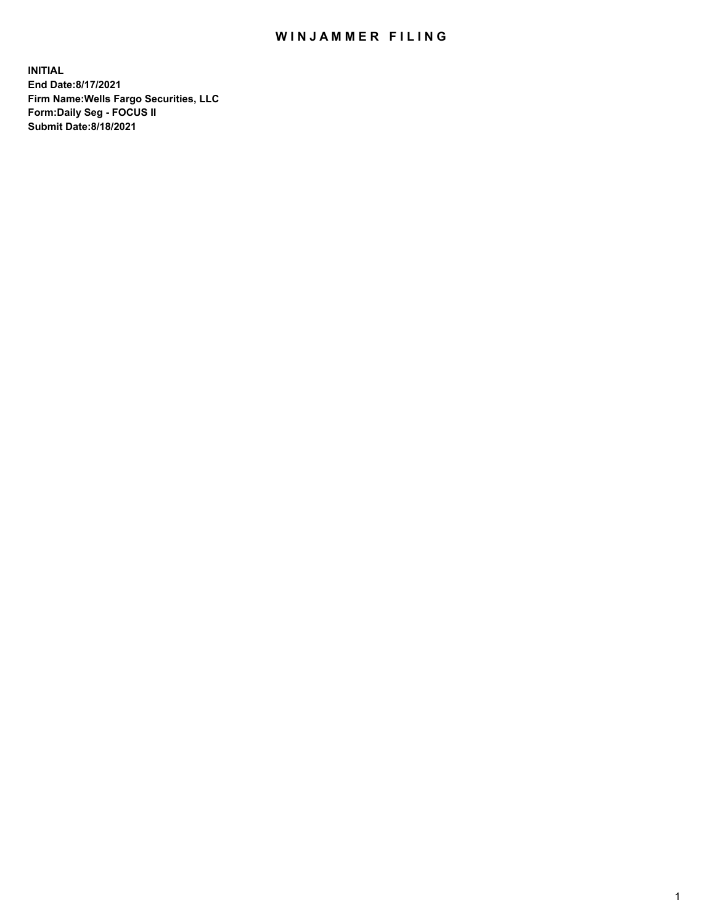## WIN JAMMER FILING

**INITIAL End Date:8/17/2021 Firm Name:Wells Fargo Securities, LLC Form:Daily Seg - FOCUS II Submit Date:8/18/2021**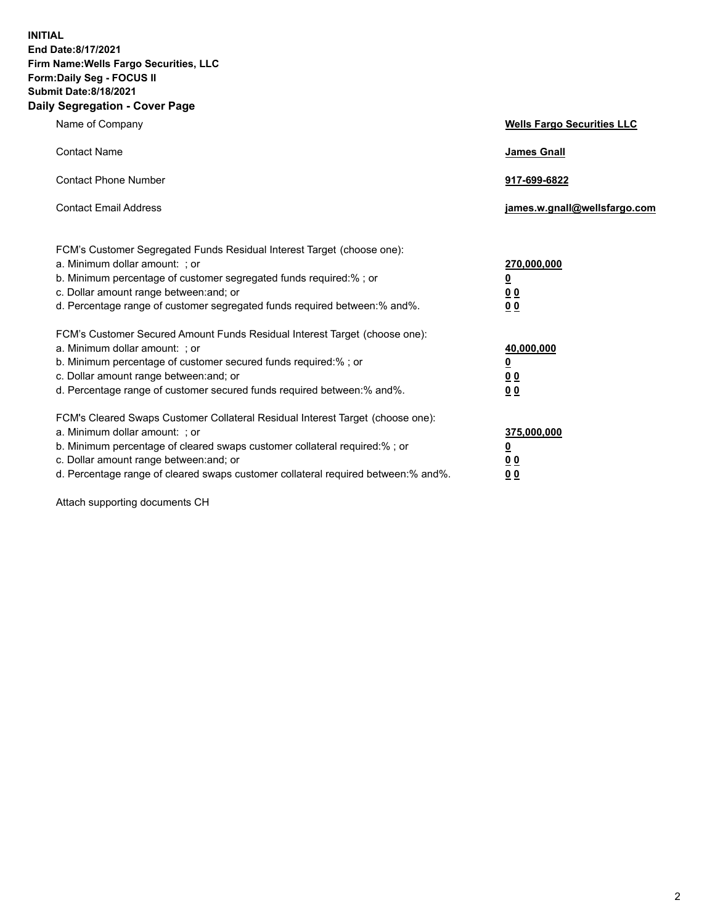**INITIAL End Date:8/17/2021 Firm Name:Wells Fargo Securities, LLC Form:Daily Seg - FOCUS II Submit Date:8/18/2021 Daily Segregation - Cover Page**

| Name of Company                                                                                                                                                                                                                                                                                                                | <b>Wells Fargo Securities LLC</b>                                          |
|--------------------------------------------------------------------------------------------------------------------------------------------------------------------------------------------------------------------------------------------------------------------------------------------------------------------------------|----------------------------------------------------------------------------|
| <b>Contact Name</b>                                                                                                                                                                                                                                                                                                            | <b>James Gnall</b>                                                         |
| <b>Contact Phone Number</b>                                                                                                                                                                                                                                                                                                    | 917-699-6822                                                               |
| <b>Contact Email Address</b>                                                                                                                                                                                                                                                                                                   | james.w.gnall@wellsfargo.com                                               |
| FCM's Customer Segregated Funds Residual Interest Target (choose one):<br>a. Minimum dollar amount: ; or<br>b. Minimum percentage of customer segregated funds required:% ; or<br>c. Dollar amount range between: and; or<br>d. Percentage range of customer segregated funds required between:% and%.                         | 270,000,000<br>$\underline{\mathbf{0}}$<br>00<br>00                        |
| FCM's Customer Secured Amount Funds Residual Interest Target (choose one):<br>a. Minimum dollar amount: ; or<br>b. Minimum percentage of customer secured funds required:%; or<br>c. Dollar amount range between: and; or<br>d. Percentage range of customer secured funds required between: % and %.                          | 40,000,000<br>$\underline{\mathbf{0}}$<br>0 <sub>0</sub><br>0 <sub>0</sub> |
| FCM's Cleared Swaps Customer Collateral Residual Interest Target (choose one):<br>a. Minimum dollar amount: ; or<br>b. Minimum percentage of cleared swaps customer collateral required:% ; or<br>c. Dollar amount range between: and; or<br>d. Percentage range of cleared swaps customer collateral required between:% and%. | 375,000,000<br><u>0</u><br>00<br><u>00</u>                                 |

Attach supporting documents CH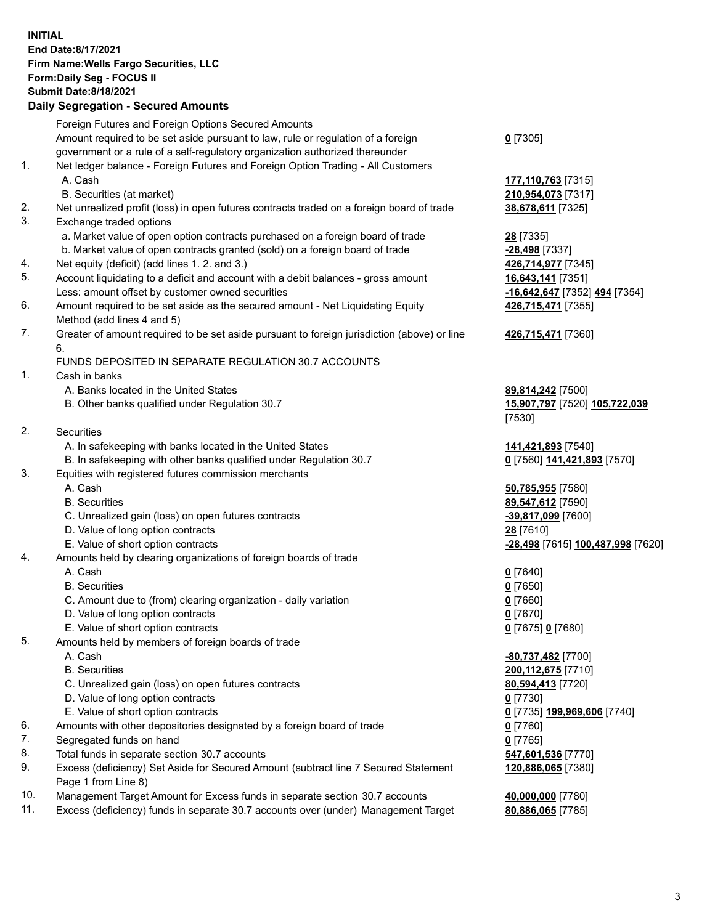**INITIAL End Date:8/17/2021 Firm Name:Wells Fargo Securities, LLC Form:Daily Seg - FOCUS II Submit Date:8/18/2021 Daily Segregation - Secured Amounts**

Foreign Futures and Foreign Options Secured Amounts Amount required to be set aside pursuant to law, rule or regulation of a foreign government or a rule of a self-regulatory organization authorized thereunder **0** [7305] 1. Net ledger balance - Foreign Futures and Foreign Option Trading - All Customers A. Cash **177,110,763** [7315] B. Securities (at market) **210,954,073** [7317] 2. Net unrealized profit (loss) in open futures contracts traded on a foreign board of trade **38,678,611** [7325] 3. Exchange traded options a. Market value of open option contracts purchased on a foreign board of trade **28** [7335] b. Market value of open contracts granted (sold) on a foreign board of trade **-28,498** [7337] 4. Net equity (deficit) (add lines 1. 2. and 3.) **426,714,977** [7345] 5. Account liquidating to a deficit and account with a debit balances - gross amount **16,643,141** [7351] Less: amount offset by customer owned securities **-16,642,647** [7352] **494** [7354] 6. Amount required to be set aside as the secured amount - Net Liquidating Equity Method (add lines 4 and 5) **426,715,471** [7355] 7. Greater of amount required to be set aside pursuant to foreign jurisdiction (above) or line 6. **426,715,471** [7360] FUNDS DEPOSITED IN SEPARATE REGULATION 30.7 ACCOUNTS 1. Cash in banks A. Banks located in the United States **89,814,242** [7500] B. Other banks qualified under Regulation 30.7 **15,907,797** [7520] **105,722,039** [7530] 2. Securities A. In safekeeping with banks located in the United States **141,421,893** [7540] B. In safekeeping with other banks qualified under Regulation 30.7 **0** [7560] **141,421,893** [7570] 3. Equities with registered futures commission merchants A. Cash **50,785,955** [7580] B. Securities **89,547,612** [7590] C. Unrealized gain (loss) on open futures contracts **-39,817,099** [7600] D. Value of long option contracts **28** [7610] E. Value of short option contracts **-28,498** [7615] **100,487,998** [7620] 4. Amounts held by clearing organizations of foreign boards of trade A. Cash **0** [7640] B. Securities **0** [7650] C. Amount due to (from) clearing organization - daily variation **0** [7660] D. Value of long option contracts **0** [7670] E. Value of short option contracts **0** [7675] **0** [7680]

- 5. Amounts held by members of foreign boards of trade
	- A. Cash **-80,737,482** [7700]
	- B. Securities **200,112,675** [7710]
	- C. Unrealized gain (loss) on open futures contracts **80,594,413** [7720]
	- D. Value of long option contracts **0** [7730]
	- E. Value of short option contracts **0** [7735] **199,969,606** [7740]
- 6. Amounts with other depositories designated by a foreign board of trade **0** [7760]
- 7. Segregated funds on hand **0** [7765]
- 8. Total funds in separate section 30.7 accounts **547,601,536** [7770]
- 9. Excess (deficiency) Set Aside for Secured Amount (subtract line 7 Secured Statement Page 1 from Line 8)
- 10. Management Target Amount for Excess funds in separate section 30.7 accounts **40,000,000** [7780]
- 11. Excess (deficiency) funds in separate 30.7 accounts over (under) Management Target **80,886,065** [7785]

**120,886,065** [7380]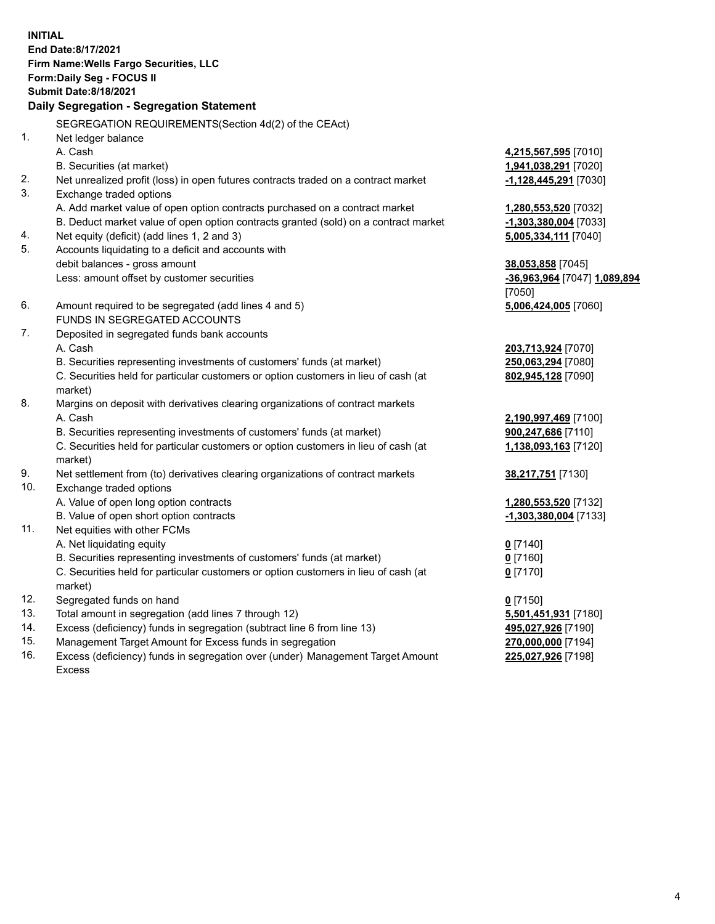**INITIAL End Date:8/17/2021 Firm Name:Wells Fargo Securities, LLC Form:Daily Seg - FOCUS II Submit Date:8/18/2021**

## **Daily Segregation - Segregation Statement**

SEGREGATION REQUIREMENTS(Section 4d(2) of the CEAct)

|     | OLONLOATION INLQUINLIVILIVI O(OCCIDII 40(Z) OI THE OLACI)                           |                              |
|-----|-------------------------------------------------------------------------------------|------------------------------|
| 1.  | Net ledger balance                                                                  |                              |
|     | A. Cash                                                                             | 4,215,567,595 [7010]         |
|     | B. Securities (at market)                                                           | 1,941,038,291 [7020]         |
| 2.  | Net unrealized profit (loss) in open futures contracts traded on a contract market  | -1,128,445,291 [7030]        |
| 3.  | Exchange traded options                                                             |                              |
|     | A. Add market value of open option contracts purchased on a contract market         | 1,280,553,520 [7032]         |
|     | B. Deduct market value of open option contracts granted (sold) on a contract market | -1,303,380,004 [7033]        |
| 4.  | Net equity (deficit) (add lines 1, 2 and 3)                                         | 5,005,334,111 [7040]         |
| 5.  | Accounts liquidating to a deficit and accounts with                                 |                              |
|     | debit balances - gross amount                                                       | 38,053,858 [7045]            |
|     | Less: amount offset by customer securities                                          | -36,963,964 [7047] 1,089,894 |
|     |                                                                                     | [7050]                       |
| 6.  | Amount required to be segregated (add lines 4 and 5)                                | 5,006,424,005 [7060]         |
|     | FUNDS IN SEGREGATED ACCOUNTS                                                        |                              |
| 7.  | Deposited in segregated funds bank accounts                                         |                              |
|     | A. Cash                                                                             | 203,713,924 [7070]           |
|     | B. Securities representing investments of customers' funds (at market)              | 250,063,294 [7080]           |
|     | C. Securities held for particular customers or option customers in lieu of cash (at | 802,945,128 [7090]           |
|     | market)                                                                             |                              |
| 8.  | Margins on deposit with derivatives clearing organizations of contract markets      |                              |
|     | A. Cash                                                                             | 2,190,997,469 [7100]         |
|     | B. Securities representing investments of customers' funds (at market)              | 900,247,686 [7110]           |
|     | C. Securities held for particular customers or option customers in lieu of cash (at | 1,138,093,163 [7120]         |
|     | market)                                                                             |                              |
| 9.  | Net settlement from (to) derivatives clearing organizations of contract markets     | 38,217,751 [7130]            |
| 10. | Exchange traded options                                                             |                              |
|     | A. Value of open long option contracts                                              | 1,280,553,520 [7132]         |
|     | B. Value of open short option contracts                                             | -1,303,380,004 [7133]        |
| 11. | Net equities with other FCMs                                                        |                              |
|     | A. Net liquidating equity                                                           | $0$ [7140]                   |
|     | B. Securities representing investments of customers' funds (at market)              | $0$ [7160]                   |
|     | C. Securities held for particular customers or option customers in lieu of cash (at | $0$ [7170]                   |
|     | market)                                                                             |                              |
| 12. | Segregated funds on hand                                                            | $0$ [7150]                   |
| 13. | Total amount in segregation (add lines 7 through 12)                                | 5,501,451,931 [7180]         |
| 14. | Excess (deficiency) funds in segregation (subtract line 6 from line 13)             | 495,027,926 [7190]           |
| 15. | Management Target Amount for Excess funds in segregation                            | 270,000,000 [7194]           |
| 16. | Excess (deficiency) funds in segregation over (under) Management Target Amount      | 225,027,926 [7198]           |
|     | Excess                                                                              |                              |